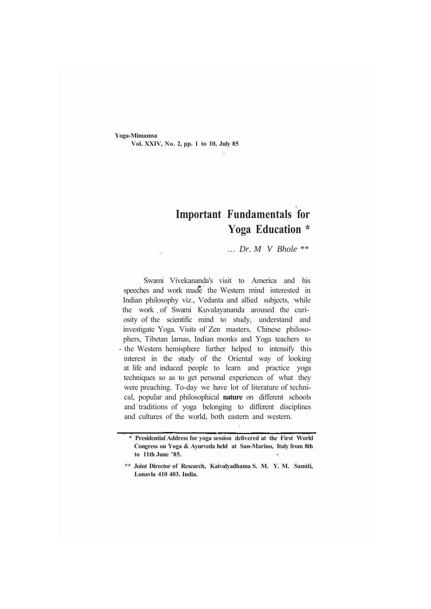**Yoga-Mimamsa Vol. XXIV, No. 2, pp. 1 to 10, July 85**

# **Important Fundamentals for Yoga Education \***

... *Dr. M V Bhole \*\**

Swami Vivekananda's visit to America and his speeches and work made the Western mind interested in Indian philosophy viz., Vedanta and allied subjects, while the work of Swami Kuvalayananda aroused the curiosity of the scientific mind to study, understand and investigate Yoga. Visits of Zen masters, Chinese philosophers, Tibetan lamas, Indian monks and Yoga teachers to - the Western hemisphere further helped to intensify this interest in the study of the Oriental way of looking at life and induced people to learn and practice yoga techniques so as to get personal experiences of what they were preaching. To-day we have lot of literature of technical, popular and philosophical **nature** on different schools and traditions of yoga belonging to different disciplines and cultures of the world, both eastern and western.

**<sup>\*</sup> Presidential Address for yoga session delivered at the First World Congress on Yoga & Ayurveda held at San-Marino, Italy from 8th to 11th June '85.**

**<sup>\*\*</sup> Joint Director of Research, Kaivalyadhama S. M. Y. M. Samiti, Lonavla 410 403. India.**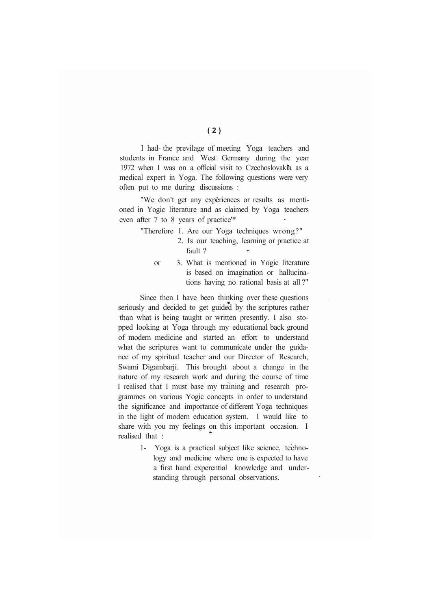I had- the previlage of meeting Yoga teachers and students in France and West Germany during the year 1972 when I was on a official visit to Czechoslovakia as a medical expert in Yoga. The following questions were very often put to me during discussions :

"We don't get any experiences or results as mentioned in Yogic literature and as claimed by Yoga teachers even after 7 to 8 years of practice'\*

- "Therefore 1. Are our Yoga techniques wrong?"
	- 2. Is our teaching, learning or practice at fault ?
	- or 3. What is mentioned in Yogic literature is based on imagination or hallucinations having no rational basis at all ?"

Since then I have been thinking over these questions seriously and decided to get guided by the scriptures rather than what is being taught or written presently. I also stopped looking at Yoga through my educational back ground of modern medicine and started an effort to understand what the scriptures want to communicate under the guidance of my spiritual teacher and our Director of Research, Swami Digambarji. This brought about a change in the nature of my research work and during the course of time I realised that I must base my training and research programmes on various Yogic concepts in order to understand the significance and importance of different Yoga techniques in the light of modern education system. 1 would like to share with you my feelings on this important occasion. I realised that :

> 1- Yoga is a practical subject like science, technology and medicine where one is expected to have a first hand experential knowledge and understanding through personal observations.

**(2)**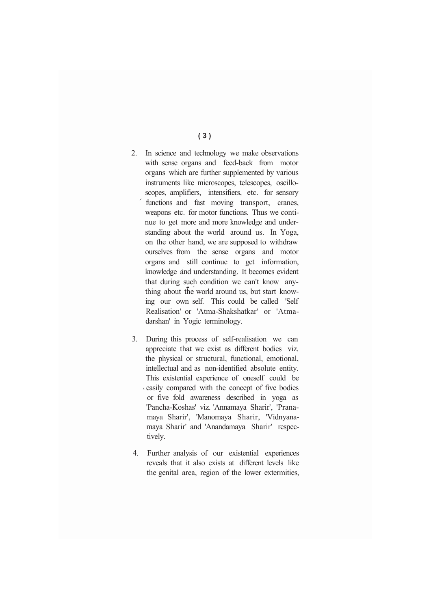- 2. In science and technology we make observations with sense organs and feed-back from motor organs which are further supplemented by various instruments like microscopes, telescopes, oscilloscopes, amplifiers, intensifiers, etc. for sensory functions and fast moving transport, cranes, weapons etc. for motor functions. Thus we continue to get more and more knowledge and understanding about the world around us. In Yoga, on the other hand, we are supposed to withdraw ourselves from the sense organs and motor organs and still continue to get information, knowledge and understanding. It becomes evident that during such condition we can't know anything about the world around us, but start knowing our own self. This could be called 'Self Realisation' or 'Atma-Shakshatkar' or 'Atmadarshan' in Yogic terminology.
- 3. During this process of self-realisation we can appreciate that we exist as different bodies viz. the physical or structural, functional, emotional, intellectual and as non-identified absolute entity. This existential experience of oneself could be easily compared with the concept of five bodies or five fold awareness described in yoga as 'Pancha-Koshas' viz. 'Annamaya Sharir', 'Pranamaya Sharir', 'Manomaya Sharir, 'Vidnyanamaya Sharir' and 'Anandamaya Sharir' respectively.
- 4. Further analysis of our existential experiences reveals that it also exists at different levels like the genital area, region of the lower extermities,

#### **(3)**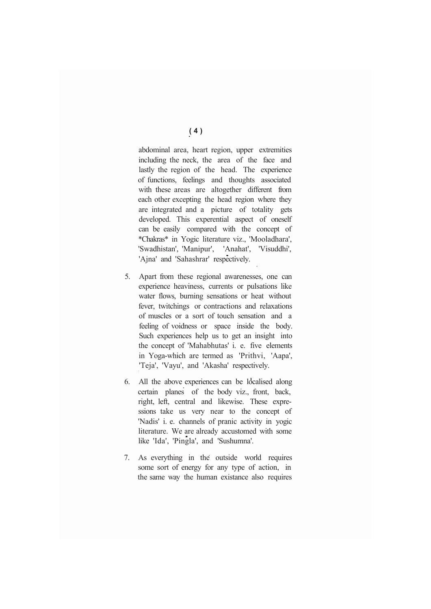abdominal area, heart region, upper extremities including the neck, the area of the face and lastly the region of the head. The experience of functions, feelings and thoughts associated with these areas are altogether different from each other excepting the head region where they are integrated and a picture of totality gets developed. This experential aspect of oneself can be easily compared with the concept of \*Chakras\* in Yogic literature viz., 'Mooladhara', 'Swadhistan', 'Manipur', 'Anahat', 'Visuddhi', 'Ajna' and 'Sahashrar' respectively.

- 5. Apart from these regional awarenesses, one can experience heaviness, currents or pulsations like water flows, burning sensations or heat without fever, twitchings or contractions and relaxations of muscles or a sort of touch sensation and a feeling of voidness or space inside the body. Such experiences help us to get an insight into the concept of 'Mahabhutas' i. e. five elements in Yoga-which are termed as 'Prithvi, 'Aapa', 'Teja', 'Vayu', and 'Akasha' respectively.
- 6. All the above experiences can be localised along certain planes of the body viz., front, back, right, left, central and likewise. These expressions take us very near to the concept of 'Nadis' i. e. channels of pranic activity in yogic literature. We are already accustomed with some like 'Ida', 'Pingla', and 'Sushumna'.
- 7. As everything in the outside world requires some sort of energy for any type of action, in the same way the human existance also requires

**(4)**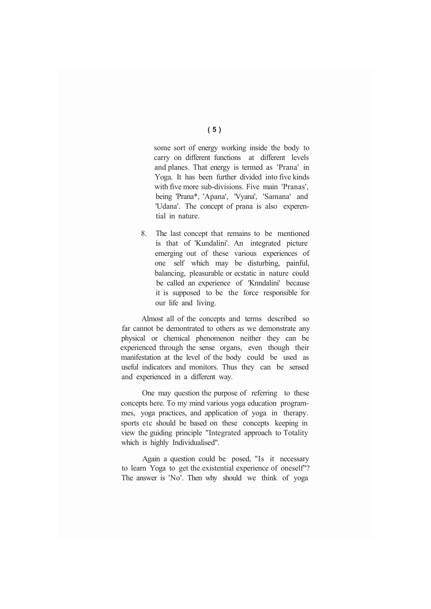some sort of energy working inside the body to carry on different functions at different levels and planes. That energy is termed as 'Prana' in Yoga. It has been further divided into five kinds with five more sub-divisions. Five main 'Pranas', being 'Prana\*, 'Apana', 'Vyana', 'Samana' and 'Udana'. The concept of prana is also experential in nature.

8. The last concept that remains to be mentioned is that of 'Kundalini'. An integrated picture emerging out of these various experiences of one self which may be disturbing, painful, balancing, pleasurable or ecstatic in nature could be called an experience of 'Knndalini' because it is supposed to be the force responsible for our life and living.

Almost all of the concepts and terms described so far cannot be demontrated to others as we demonstrate any physical or chemical phenomenon neither they can be experienced through the sense organs, even though their manifestation at the level of the body could be used as useful indicators and monitors. Thus they can be sensed and experienced in a different way.

One may question the purpose of referring to these concepts here. To my mind various yoga education programmes, yoga practices, and application of yoga in therapy. sports etc should be based on these concepts keeping in view the guiding principle "Integrated approach to Totality which i*s* highly Individualised".

Again a question could be posed, "Is it necessary to learn Yoga to get the existential experience of oneself"? The answer is 'No'. Then why should we think of yoga

## **(5)**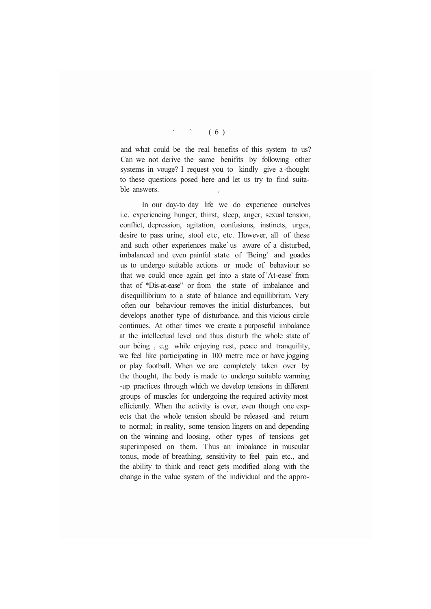### $(6)$

and what could be the real benefits of this system to us? Can we not derive the same benifits by following other systems in vouge? I request you to kindly give a thought to these questions posed here and let us try to find suitable answers.

In our day-to day life we do experience ourselves i.e. experiencing hunger, thirst, sleep, anger, sexual tension, conflict, depression, agitation, confusions, instincts, urges, desire to pass urine, stool etc, etc. However, all of these and such other experiences make us aware of a disturbed, imbalanced and even painful state of 'Being' and goades us to undergo suitable actions or mode of behaviour so that we could once again get into a state of 'At-ease' from that of \*Dis-at-ease" or from the state of imbalance and disequillibrium to a state of balance and equillibrium. Very often our behaviour removes the initial disturbances, but develops another type of disturbance, and this vicious circle continues. At other times we create a purposeful imbalance at the intellectual level and thus disturb the whole state of our being , e.g. while enjoying rest, peace and tranquility, we feel like participating in 100 metre race or have jogging or play football. When we are completely taken over by the thought, the body is made to undergo suitable warming -up practices through which we develop tensions in different groups of muscles for undergoing the required activity most efficiently. When the activity is over, even though one expects that the whole tension should be released and return to normal; in reality, some tension lingers on and depending on the winning and loosing, other types of tensions get superimposed on them. Thus an imbalance in muscular tonus, mode of breathing, sensitivity to feel pain etc., and the ability to think and react gets modified along with the change in the value system of the individual and the appro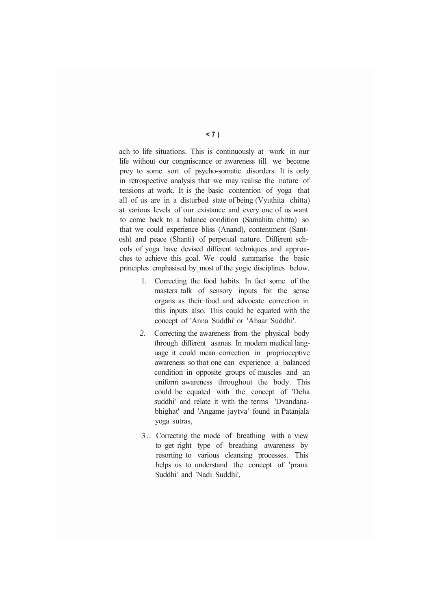ach to life situations. This is continuously at work in our life without our congniscance or awareness till we become prey to some sort of psycho-somatic disorders. It is only in retrospective analysis that we may realise the nature of tensions at work. It is the basic contention of yoga that all of us are in a disturbed state of being (Vyuthita chitta) at various levels of our existance and every one of us want to come back to a balance condition (Samahita chitta) so that we could experience bliss (Anand), contentment (Santosh) and peace (Shanti) of perpetual nature. Different schools of yoga have devised different techniques and approaches to achieve this goal. We could summarise the basic principles emphasised by most of the yogic disciplines below.

- 1. Correcting the food habits. In fact some of the masters talk of sensory inputs for the sense organs as their food and advocate correction in this inputs also. This could be equated with the concept of 'Anna Suddhi' or 'Ahaar Suddhi'.
- *2.* Correcting the awareness from the physical body through different asanas. In modern medical language it could mean correction in proprioceptive awareness so that one can experience a balanced condition in opposite groups of muscles and an uniform awareness throughout the body. This could be equated with the concept of 'Deha suddhi' and relate it with the terms 'Dvandanabhighat' and 'Angame jaytva' found in Patanjala yoga sutras,
- 3.. Correcting the mode of breathing with a view to get right type of breathing awareness by resorting to various cleansing processes. This helps us to understand the concept of 'prana Suddhi' and 'Nadi Suddhi'.

#### **<7)**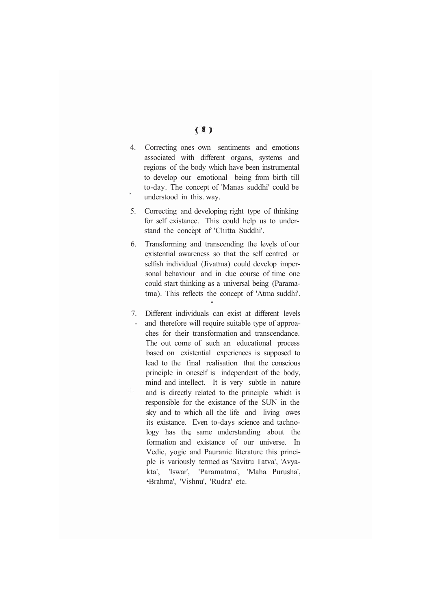- $(8)$
- 4. Correcting ones own sentiments and emotions associated with different organs, systems and regions of the body which have been instrumental to develop our emotional being from birth till to-day. The concept of 'Manas suddhi' could be understood in this. way.
- 5. Correcting and developing right type of thinking for self existance. This could help us to understand the concept of 'Chitta Suddhi'.
- 6. Transforming and transcending the levels of our existential awareness so that the self centred or selfish individual (Jivatma) could develop impersonal behaviour and in due course of time one could start thinking as a universal being (Paramatma). This reflects the concept of 'Atma suddhi'.

**\***

7. Different individuals can exist at different levels and therefore will require suitable type of approaches for their transformation and transcendance. The out come of such an educational process based on existential experiences is supposed to lead to the final realisation that the conscious principle in oneself is independent of the body, mind and intellect. It is very subtle in nature and is directly related to the principle which is responsible for the existance of the SUN in the sky and to which all the life and living owes its existance. Even to-days science and tachnology has the same understanding about the formation and existance of our universe. In Vedic, yogic and Pauranic literature this principle is variously termed as 'Savitru Tatva', 'Avyakta', 'Iswar', 'Paramatma', 'Maha Purusha', •Brahma', 'Vishnu', 'Rudra' etc.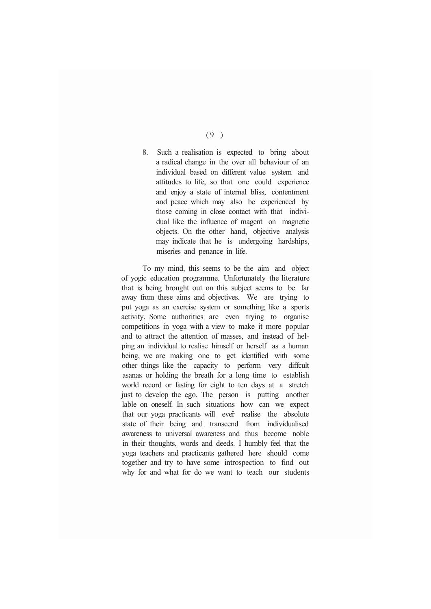8. Such a realisation is expected to bring about a radical change in the over all behaviour of an individual based on different value system and attitudes to life, so that one could experience and enjoy a state of internal bliss, contentment and peace which may also be experienced by those coming in close contact with that individual like the influence of magent on magnetic objects. On the other hand, objective analysis may indicate that he is undergoing hardships, miseries and penance in life.

To my mind, this seems to be the aim and object of yogic education programme. Unfortunately the literature that is being brought out on this subject seems to be far away from these aims and objectives. We are trying to put yoga as an exercise system or something like a sports activity. Some authorities are even trying to organise competitions in yoga with a view to make it more popular and to attract the attention of masses, and instead of helping an individual to realise himself or herself as a human being, we are making one to get identified with some other things like the capacity to perform very diffcult asanas or holding the breath for a long time to establish world record or fasting for eight to ten days at a stretch just to develop the ego. The person is putting another lable on oneself. In such situations how can we expect that our yoga practicants will ever realise the absolute state of their being and transcend from individualised awareness to universal awareness and thus become noble in their thoughts, words and deeds. I humbly feel that the yoga teachers and practicants gathered here should come together and try to have some introspection to find out why for and what for do we want to teach our students

 $(9)$